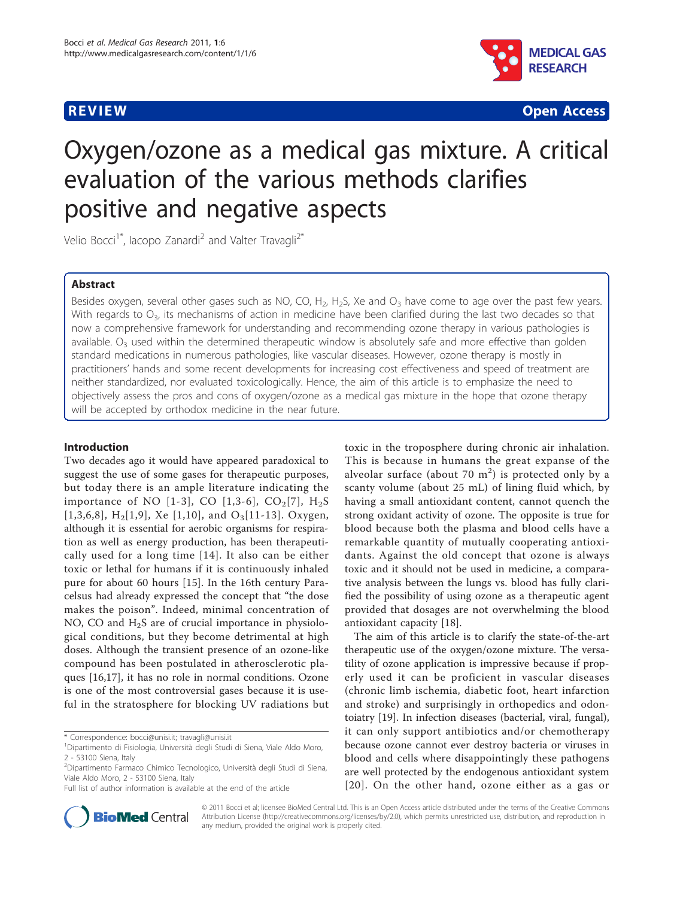

**REVIEW CONSTRUCTION CONSTRUCTION CONSTRUCTS** 

# Oxygen/ozone as a medical gas mixture. A critical evaluation of the various methods clarifies positive and negative aspects

Velio Bocci<sup>1\*</sup>, Iacopo Zanardi<sup>2</sup> and Valter Travagli<sup>2\*</sup>

# Abstract

Besides oxygen, several other gases such as NO, CO, H<sub>2</sub>, H<sub>2</sub>S, Xe and O<sub>3</sub> have come to age over the past few years. With regards to  $O_3$ , its mechanisms of action in medicine have been clarified during the last two decades so that now a comprehensive framework for understanding and recommending ozone therapy in various pathologies is available.  $O_3$  used within the determined therapeutic window is absolutely safe and more effective than golden standard medications in numerous pathologies, like vascular diseases. However, ozone therapy is mostly in practitioners' hands and some recent developments for increasing cost effectiveness and speed of treatment are neither standardized, nor evaluated toxicologically. Hence, the aim of this article is to emphasize the need to objectively assess the pros and cons of oxygen/ozone as a medical gas mixture in the hope that ozone therapy will be accepted by orthodox medicine in the near future.

### Introduction

Two decades ago it would have appeared paradoxical to suggest the use of some gases for therapeutic purposes, but today there is an ample literature indicating the importance of NO [[1](#page-7-0)-[3](#page-7-0)], CO [[1,3-6\]](#page-7-0), CO<sub>2</sub>[[7](#page-7-0)], H<sub>2</sub>S [[1,3](#page-7-0),[6](#page-7-0),[8](#page-7-0)], H<sub>2</sub>[[1,9](#page-7-0)], Xe [[1,10\]](#page-7-0), and O<sub>3</sub>[[11-13](#page-7-0)]. Oxygen, although it is essential for aerobic organisms for respiration as well as energy production, has been therapeutically used for a long time [[14](#page-7-0)]. It also can be either toxic or lethal for humans if it is continuously inhaled pure for about 60 hours [[15\]](#page-7-0). In the 16th century Paracelsus had already expressed the concept that "the dose makes the poison". Indeed, minimal concentration of NO, CO and  $H_2S$  are of crucial importance in physiological conditions, but they become detrimental at high doses. Although the transient presence of an ozone-like compound has been postulated in atherosclerotic plaques [[16,17\]](#page-7-0), it has no role in normal conditions. Ozone is one of the most controversial gases because it is useful in the stratosphere for blocking UV radiations but

toxic in the troposphere during chronic air inhalation. This is because in humans the great expanse of the alveolar surface (about 70  $m<sup>2</sup>$ ) is protected only by a scanty volume (about 25 mL) of lining fluid which, by having a small antioxidant content, cannot quench the strong oxidant activity of ozone. The opposite is true for blood because both the plasma and blood cells have a remarkable quantity of mutually cooperating antioxidants. Against the old concept that ozone is always toxic and it should not be used in medicine, a comparative analysis between the lungs vs. blood has fully clarified the possibility of using ozone as a therapeutic agent provided that dosages are not overwhelming the blood antioxidant capacity [\[18\]](#page-7-0).

The aim of this article is to clarify the state-of-the-art therapeutic use of the oxygen/ozone mixture. The versatility of ozone application is impressive because if properly used it can be proficient in vascular diseases (chronic limb ischemia, diabetic foot, heart infarction and stroke) and surprisingly in orthopedics and odontoiatry [\[19](#page-7-0)]. In infection diseases (bacterial, viral, fungal), it can only support antibiotics and/or chemotherapy because ozone cannot ever destroy bacteria or viruses in blood and cells where disappointingly these pathogens are well protected by the endogenous antioxidant system [[20](#page-7-0)]. On the other hand, ozone either as a gas or



© 2011 Bocci et al; licensee BioMed Central Ltd. This is an Open Access article distributed under the terms of the Creative Commons Attribution License [\(http://creativecommons.org/licenses/by/2.0](http://creativecommons.org/licenses/by/2.0)), which permits unrestricted use, distribution, and reproduction in any medium, provided the original work is properly cited.

<sup>\*</sup> Correspondence: [bocci@unisi.it](mailto:bocci@unisi.it); [travagli@unisi.it](mailto:travagli@unisi.it)

<sup>1</sup> Dipartimento di Fisiologia, Università degli Studi di Siena, Viale Aldo Moro, 2 - 53100 Siena, Italy

<sup>2</sup> Dipartimento Farmaco Chimico Tecnologico, Università degli Studi di Siena, Viale Aldo Moro, 2 - 53100 Siena, Italy

Full list of author information is available at the end of the article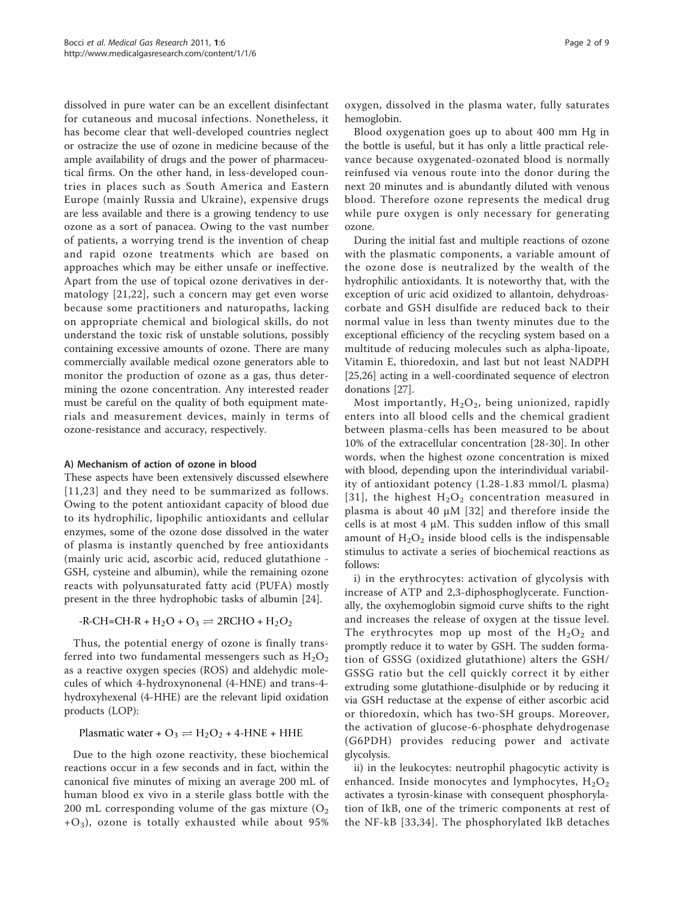dissolved in pure water can be an excellent disinfectant for cutaneous and mucosal infections. Nonetheless, it has become clear that well-developed countries neglect or ostracize the use of ozone in medicine because of the ample availability of drugs and the power of pharmaceutical firms. On the other hand, in less-developed countries in places such as South America and Eastern Europe (mainly Russia and Ukraine), expensive drugs are less available and there is a growing tendency to use ozone as a sort of panacea. Owing to the vast number of patients, a worrying trend is the invention of cheap and rapid ozone treatments which are based on approaches which may be either unsafe or ineffective. Apart from the use of topical ozone derivatives in dermatology [[21](#page-7-0),[22](#page-7-0)], such a concern may get even worse because some practitioners and naturopaths, lacking on appropriate chemical and biological skills, do not understand the toxic risk of unstable solutions, possibly containing excessive amounts of ozone. There are many commercially available medical ozone generators able to monitor the production of ozone as a gas, thus determining the ozone concentration. Any interested reader must be careful on the quality of both equipment materials and measurement devices, mainly in terms of ozone-resistance and accuracy, respectively.

# A) Mechanism of action of ozone in blood

These aspects have been extensively discussed elsewhere [[11,23](#page-7-0)] and they need to be summarized as follows. Owing to the potent antioxidant capacity of blood due to its hydrophilic, lipophilic antioxidants and cellular enzymes, some of the ozone dose dissolved in the water of plasma is instantly quenched by free antioxidants (mainly uric acid, ascorbic acid, reduced glutathione - GSH, cysteine and albumin), while the remaining ozone reacts with polyunsaturated fatty acid (PUFA) mostly present in the three hydrophobic tasks of albumin [[24](#page-7-0)].

 $-R\text{-CH=CH-R} + H_2O + O_3 \rightleftharpoons 2RCHO + H_2O_2$ 

Thus, the potential energy of ozone is finally transferred into two fundamental messengers such as  $H_2O_2$ as a reactive oxygen species (ROS) and aldehydic molecules of which 4-hydroxynonenal (4-HNE) and trans-4 hydroxyhexenal (4-HHE) are the relevant lipid oxidation products (LOP):

Plasmatic water +  $O_3 \rightleftharpoons H_2O_2$  + 4-HNE + HHE

Due to the high ozone reactivity, these biochemical reactions occur in a few seconds and in fact, within the canonical five minutes of mixing an average 200 mL of human blood ex vivo in a sterile glass bottle with the 200 mL corresponding volume of the gas mixture  $(O_2)$  $+O<sub>3</sub>$ ), ozone is totally exhausted while about 95%

oxygen, dissolved in the plasma water, fully saturates hemoglobin.

Blood oxygenation goes up to about 400 mm Hg in the bottle is useful, but it has only a little practical relevance because oxygenated-ozonated blood is normally reinfused via venous route into the donor during the next 20 minutes and is abundantly diluted with venous blood. Therefore ozone represents the medical drug while pure oxygen is only necessary for generating ozone.

During the initial fast and multiple reactions of ozone with the plasmatic components, a variable amount of the ozone dose is neutralized by the wealth of the hydrophilic antioxidants. It is noteworthy that, with the exception of uric acid oxidized to allantoin, dehydroascorbate and GSH disulfide are reduced back to their normal value in less than twenty minutes due to the exceptional efficiency of the recycling system based on a multitude of reducing molecules such as alpha-lipoate, Vitamin E, thioredoxin, and last but not least NADPH [[25,26\]](#page-7-0) acting in a well-coordinated sequence of electron donations [\[27\]](#page-7-0).

Most importantly,  $H_2O_2$ , being unionized, rapidly enters into all blood cells and the chemical gradient between plasma-cells has been measured to be about 10% of the extracellular concentration [[28-30](#page-7-0)]. In other words, when the highest ozone concentration is mixed with blood, depending upon the interindividual variability of antioxidant potency (1.28-1.83 mmol/L plasma) [[31](#page-7-0)], the highest  $H_2O_2$  concentration measured in plasma is about 40  $\mu$ M [\[32\]](#page-7-0) and therefore inside the cells is at most 4 μM. This sudden inflow of this small amount of  $H_2O_2$  inside blood cells is the indispensable stimulus to activate a series of biochemical reactions as follows:

i) in the erythrocytes: activation of glycolysis with increase of ATP and 2,3-diphosphoglycerate. Functionally, the oxyhemoglobin sigmoid curve shifts to the right and increases the release of oxygen at the tissue level. The erythrocytes mop up most of the  $H_2O_2$  and promptly reduce it to water by GSH. The sudden formation of GSSG (oxidized glutathione) alters the GSH/ GSSG ratio but the cell quickly correct it by either extruding some glutathione-disulphide or by reducing it via GSH reductase at the expense of either ascorbic acid or thioredoxin, which has two-SH groups. Moreover, the activation of glucose-6-phosphate dehydrogenase (G6PDH) provides reducing power and activate glycolysis.

ii) in the leukocytes: neutrophil phagocytic activity is enhanced. Inside monocytes and lymphocytes,  $H_2O_2$ activates a tyrosin-kinase with consequent phosphorylation of IkB, one of the trimeric components at rest of the NF-kB [[33](#page-7-0),[34](#page-7-0)]. The phosphorylated IkB detaches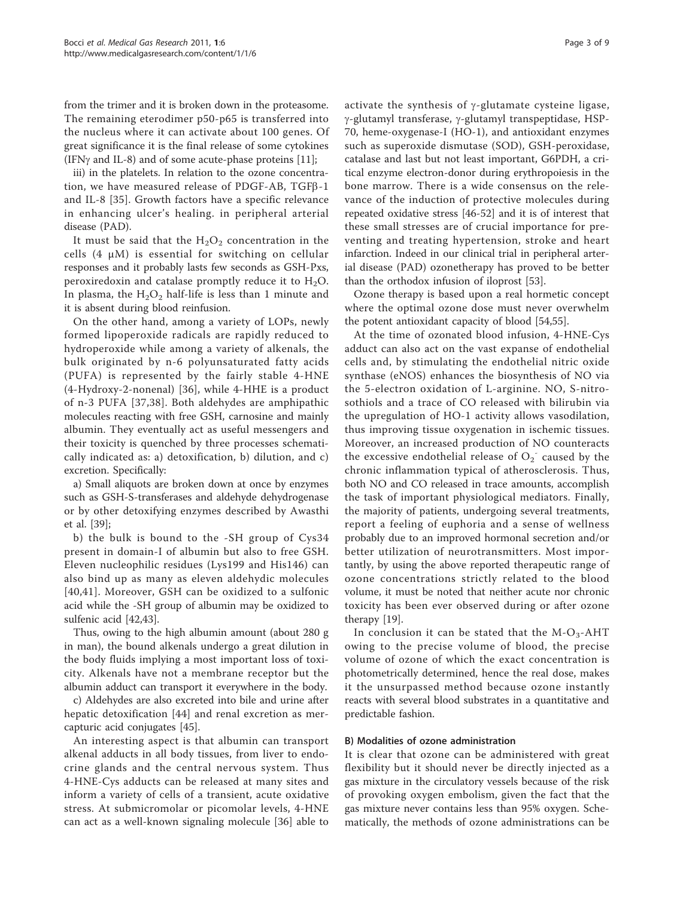from the trimer and it is broken down in the proteasome. The remaining eterodimer p50-p65 is transferred into the nucleus where it can activate about 100 genes. Of great significance it is the final release of some cytokines (IFN $\gamma$  and IL-8) and of some acute-phase proteins [\[11](#page-7-0)];

iii) in the platelets. In relation to the ozone concentration, we have measured release of PDGF-AB, TGFß-1 and IL-8 [[35](#page-7-0)]. Growth factors have a specific relevance in enhancing ulcer's healing. in peripheral arterial disease (PAD).

It must be said that the  $H_2O_2$  concentration in the cells  $(4 \mu M)$  is essential for switching on cellular responses and it probably lasts few seconds as GSH-Pxs, peroxiredoxin and catalase promptly reduce it to  $H_2O$ . In plasma, the  $H_2O_2$  half-life is less than 1 minute and it is absent during blood reinfusion.

On the other hand, among a variety of LOPs, newly formed lipoperoxide radicals are rapidly reduced to hydroperoxide while among a variety of alkenals, the bulk originated by n-6 polyunsaturated fatty acids (PUFA) is represented by the fairly stable 4-HNE (4-Hydroxy-2-nonenal) [\[36](#page-7-0)], while 4-HHE is a product of n-3 PUFA [\[37,38](#page-7-0)]. Both aldehydes are amphipathic molecules reacting with free GSH, carnosine and mainly albumin. They eventually act as useful messengers and their toxicity is quenched by three processes schematically indicated as: a) detoxification, b) dilution, and c) excretion. Specifically:

a) Small aliquots are broken down at once by enzymes such as GSH-S-transferases and aldehyde dehydrogenase or by other detoxifying enzymes described by Awasthi et al. [[39\]](#page-7-0);

b) the bulk is bound to the -SH group of Cys34 present in domain-I of albumin but also to free GSH. Eleven nucleophilic residues (Lys199 and His146) can also bind up as many as eleven aldehydic molecules [[40](#page-7-0),[41](#page-7-0)]. Moreover, GSH can be oxidized to a sulfonic acid while the -SH group of albumin may be oxidized to sulfenic acid [[42,43\]](#page-7-0).

Thus, owing to the high albumin amount (about 280 g in man), the bound alkenals undergo a great dilution in the body fluids implying a most important loss of toxicity. Alkenals have not a membrane receptor but the albumin adduct can transport it everywhere in the body.

c) Aldehydes are also excreted into bile and urine after hepatic detoxification [[44](#page-7-0)] and renal excretion as mercapturic acid conjugates [[45\]](#page-7-0).

An interesting aspect is that albumin can transport alkenal adducts in all body tissues, from liver to endocrine glands and the central nervous system. Thus 4-HNE-Cys adducts can be released at many sites and inform a variety of cells of a transient, acute oxidative stress. At submicromolar or picomolar levels, 4-HNE can act as a well-known signaling molecule [[36](#page-7-0)] able to activate the synthesis of  $\gamma$ -glutamate cysteine ligase, g-glutamyl transferase, g-glutamyl transpeptidase, HSP-70, heme-oxygenase-I (HO-1), and antioxidant enzymes such as superoxide dismutase (SOD), GSH-peroxidase, catalase and last but not least important, G6PDH, a critical enzyme electron-donor during erythropoiesis in the bone marrow. There is a wide consensus on the relevance of the induction of protective molecules during repeated oxidative stress [\[46](#page-7-0)-[52](#page-8-0)] and it is of interest that these small stresses are of crucial importance for preventing and treating hypertension, stroke and heart infarction. Indeed in our clinical trial in peripheral arterial disease (PAD) ozonetherapy has proved to be better than the orthodox infusion of iloprost [[53](#page-8-0)].

Ozone therapy is based upon a real hormetic concept where the optimal ozone dose must never overwhelm the potent antioxidant capacity of blood [\[54,55\]](#page-8-0).

At the time of ozonated blood infusion, 4-HNE-Cys adduct can also act on the vast expanse of endothelial cells and, by stimulating the endothelial nitric oxide synthase (eNOS) enhances the biosynthesis of NO via the 5-electron oxidation of L-arginine. NO, S-nitrosothiols and a trace of CO released with bilirubin via the upregulation of HO-1 activity allows vasodilation, thus improving tissue oxygenation in ischemic tissues. Moreover, an increased production of NO counteracts the excessive endothelial release of  $O_2^-$  caused by the chronic inflammation typical of atherosclerosis. Thus, both NO and CO released in trace amounts, accomplish the task of important physiological mediators. Finally, the majority of patients, undergoing several treatments, report a feeling of euphoria and a sense of wellness probably due to an improved hormonal secretion and/or better utilization of neurotransmitters. Most importantly, by using the above reported therapeutic range of ozone concentrations strictly related to the blood volume, it must be noted that neither acute nor chronic toxicity has been ever observed during or after ozone therapy [[19](#page-7-0)].

In conclusion it can be stated that the  $M-O_3$ -AHT owing to the precise volume of blood, the precise volume of ozone of which the exact concentration is photometrically determined, hence the real dose, makes it the unsurpassed method because ozone instantly reacts with several blood substrates in a quantitative and predictable fashion.

# B) Modalities of ozone administration

It is clear that ozone can be administered with great flexibility but it should never be directly injected as a gas mixture in the circulatory vessels because of the risk of provoking oxygen embolism, given the fact that the gas mixture never contains less than 95% oxygen. Schematically, the methods of ozone administrations can be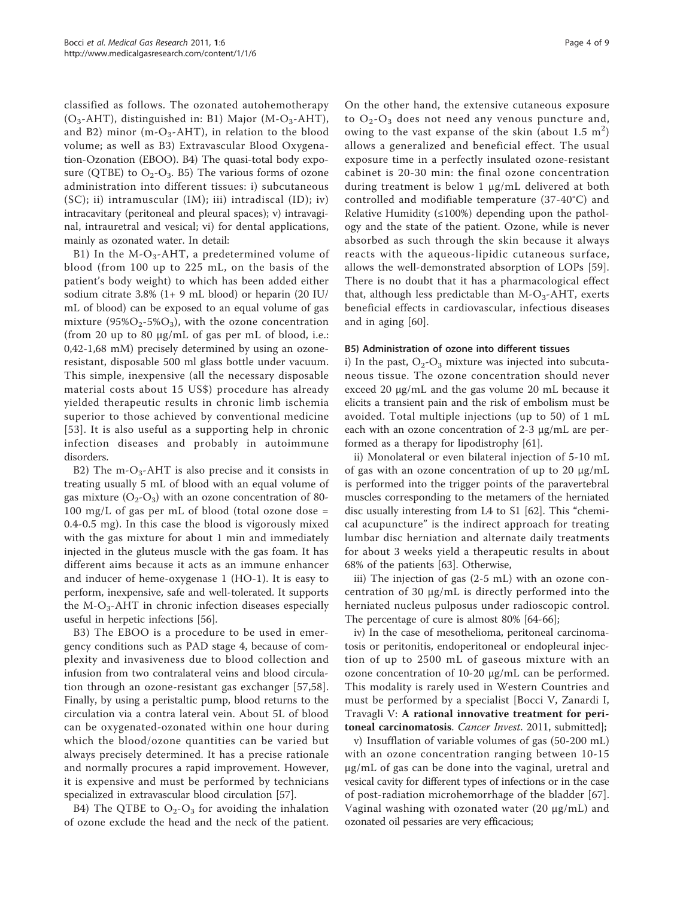classified as follows. The ozonated autohemotherapy  $(O<sub>3</sub>-AHT)$ , distinguished in: B1) Major (M- $O<sub>3</sub>-AHT$ ), and B2) minor (m- $O_3$ -AHT), in relation to the blood volume; as well as B3) Extravascular Blood Oxygenation-Ozonation (EBOO). B4) The quasi-total body exposure (QTBE) to  $O_2-O_3$ . B5) The various forms of ozone administration into different tissues: i) subcutaneous (SC); ii) intramuscular (IM); iii) intradiscal (ID); iv) intracavitary (peritoneal and pleural spaces); v) intravaginal, intrauretral and vesical; vi) for dental applications, mainly as ozonated water. In detail:

B1) In the M-O<sub>3</sub>-AHT, a predetermined volume of blood (from 100 up to 225 mL, on the basis of the patient's body weight) to which has been added either sodium citrate  $3.8\%$  (1+ 9 mL blood) or heparin (20 IU/ mL of blood) can be exposed to an equal volume of gas mixture (95% $O_2$ -5% $O_3$ ), with the ozone concentration (from 20 up to 80 μg/mL of gas per mL of blood, i.e.: 0,42-1,68 mM) precisely determined by using an ozoneresistant, disposable 500 ml glass bottle under vacuum. This simple, inexpensive (all the necessary disposable material costs about 15 US\$) procedure has already yielded therapeutic results in chronic limb ischemia superior to those achieved by conventional medicine [[53\]](#page-8-0). It is also useful as a supporting help in chronic infection diseases and probably in autoimmune disorders.

B2) The  $m-O_3$ -AHT is also precise and it consists in treating usually 5 mL of blood with an equal volume of gas mixture  $(O_2-O_3)$  with an ozone concentration of 80- $100 \text{ mg/L}$  of gas per mL of blood (total ozone dose = 0.4-0.5 mg). In this case the blood is vigorously mixed with the gas mixture for about 1 min and immediately injected in the gluteus muscle with the gas foam. It has different aims because it acts as an immune enhancer and inducer of heme-oxygenase 1 (HO-1). It is easy to perform, inexpensive, safe and well-tolerated. It supports the M-O3-AHT in chronic infection diseases especially useful in herpetic infections [\[56](#page-8-0)].

B3) The EBOO is a procedure to be used in emergency conditions such as PAD stage 4, because of complexity and invasiveness due to blood collection and infusion from two contralateral veins and blood circulation through an ozone-resistant gas exchanger [\[57,58](#page-8-0)]. Finally, by using a peristaltic pump, blood returns to the circulation via a contra lateral vein. About 5L of blood can be oxygenated-ozonated within one hour during which the blood/ozone quantities can be varied but always precisely determined. It has a precise rationale and normally procures a rapid improvement. However, it is expensive and must be performed by technicians specialized in extravascular blood circulation [\[57\]](#page-8-0).

B4) The QTBE to  $O_2-O_3$  for avoiding the inhalation of ozone exclude the head and the neck of the patient.

On the other hand, the extensive cutaneous exposure to  $O_2$ - $O_3$  does not need any venous puncture and, owing to the vast expanse of the skin (about 1.5  $m<sup>2</sup>$ ) allows a generalized and beneficial effect. The usual exposure time in a perfectly insulated ozone-resistant cabinet is 20-30 min: the final ozone concentration during treatment is below 1 μg/mL delivered at both controlled and modifiable temperature (37-40°C) and Relative Humidity  $(≤100%)$  depending upon the pathology and the state of the patient. Ozone, while is never absorbed as such through the skin because it always reacts with the aqueous-lipidic cutaneous surface, allows the well-demonstrated absorption of LOPs [[59](#page-8-0)]. There is no doubt that it has a pharmacological effect that, although less predictable than  $M-O_3-AHT$ , exerts beneficial effects in cardiovascular, infectious diseases and in aging [[60\]](#page-8-0).

#### B5) Administration of ozone into different tissues

i) In the past,  $O_2-O_3$  mixture was injected into subcutaneous tissue. The ozone concentration should never exceed 20 μg/mL and the gas volume 20 mL because it elicits a transient pain and the risk of embolism must be avoided. Total multiple injections (up to 50) of 1 mL each with an ozone concentration of 2-3 μg/mL are performed as a therapy for lipodistrophy [[61\]](#page-8-0).

ii) Monolateral or even bilateral injection of 5-10 mL of gas with an ozone concentration of up to 20 μg/mL is performed into the trigger points of the paravertebral muscles corresponding to the metamers of the herniated disc usually interesting from L4 to S1 [[62\]](#page-8-0). This "chemical acupuncture" is the indirect approach for treating lumbar disc herniation and alternate daily treatments for about 3 weeks yield a therapeutic results in about 68% of the patients [\[63\]](#page-8-0). Otherwise,

iii) The injection of gas (2-5 mL) with an ozone concentration of 30 μg/mL is directly performed into the herniated nucleus pulposus under radioscopic control. The percentage of cure is almost 80% [\[64](#page-8-0)-[66](#page-8-0)];

iv) In the case of mesothelioma, peritoneal carcinomatosis or peritonitis, endoperitoneal or endopleural injection of up to 2500 mL of gaseous mixture with an ozone concentration of 10-20 μg/mL can be performed. This modality is rarely used in Western Countries and must be performed by a specialist [Bocci V, Zanardi I, Travagli V: A rational innovative treatment for peritoneal carcinomatosis. Cancer Invest. 2011, submitted];

v) Insufflation of variable volumes of gas (50-200 mL) with an ozone concentration ranging between 10-15 μg/mL of gas can be done into the vaginal, uretral and vesical cavity for different types of infections or in the case of post-radiation microhemorrhage of the bladder [[67](#page-8-0)]. Vaginal washing with ozonated water (20 μg/mL) and ozonated oil pessaries are very efficacious;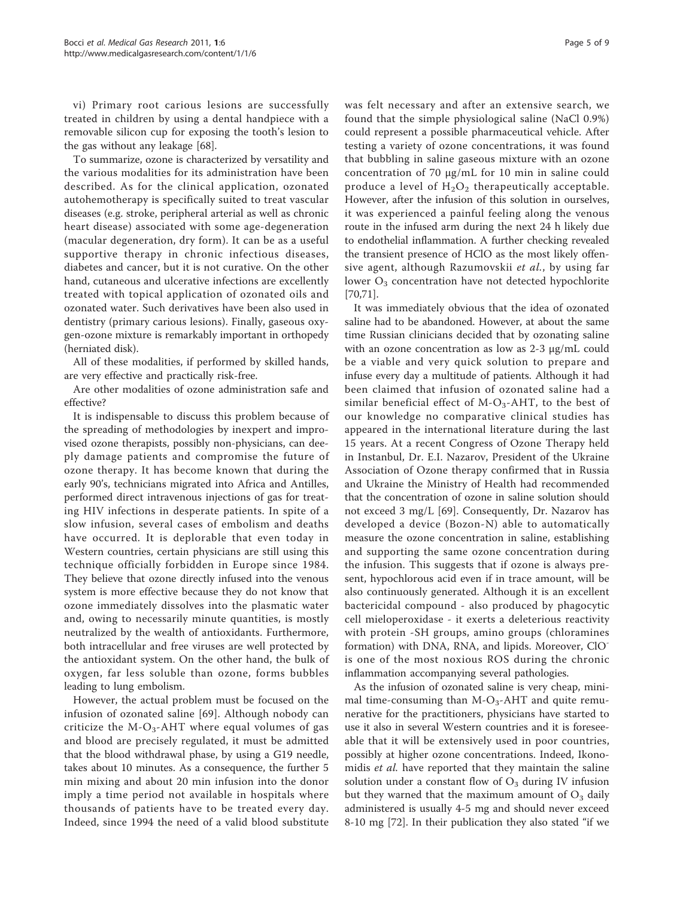vi) Primary root carious lesions are successfully treated in children by using a dental handpiece with a removable silicon cup for exposing the tooth's lesion to the gas without any leakage [[68\]](#page-8-0).

To summarize, ozone is characterized by versatility and the various modalities for its administration have been described. As for the clinical application, ozonated autohemotherapy is specifically suited to treat vascular diseases (e.g. stroke, peripheral arterial as well as chronic heart disease) associated with some age-degeneration (macular degeneration, dry form). It can be as a useful supportive therapy in chronic infectious diseases, diabetes and cancer, but it is not curative. On the other hand, cutaneous and ulcerative infections are excellently treated with topical application of ozonated oils and ozonated water. Such derivatives have been also used in dentistry (primary carious lesions). Finally, gaseous oxygen-ozone mixture is remarkably important in orthopedy (herniated disk).

All of these modalities, if performed by skilled hands, are very effective and practically risk-free.

Are other modalities of ozone administration safe and effective?

It is indispensable to discuss this problem because of the spreading of methodologies by inexpert and improvised ozone therapists, possibly non-physicians, can deeply damage patients and compromise the future of ozone therapy. It has become known that during the early 90's, technicians migrated into Africa and Antilles, performed direct intravenous injections of gas for treating HIV infections in desperate patients. In spite of a slow infusion, several cases of embolism and deaths have occurred. It is deplorable that even today in Western countries, certain physicians are still using this technique officially forbidden in Europe since 1984. They believe that ozone directly infused into the venous system is more effective because they do not know that ozone immediately dissolves into the plasmatic water and, owing to necessarily minute quantities, is mostly neutralized by the wealth of antioxidants. Furthermore, both intracellular and free viruses are well protected by the antioxidant system. On the other hand, the bulk of oxygen, far less soluble than ozone, forms bubbles leading to lung embolism.

However, the actual problem must be focused on the infusion of ozonated saline [[69](#page-8-0)]. Although nobody can criticize the  $M-O_3$ -AHT where equal volumes of gas and blood are precisely regulated, it must be admitted that the blood withdrawal phase, by using a G19 needle, takes about 10 minutes. As a consequence, the further 5 min mixing and about 20 min infusion into the donor imply a time period not available in hospitals where thousands of patients have to be treated every day. Indeed, since 1994 the need of a valid blood substitute was felt necessary and after an extensive search, we found that the simple physiological saline (NaCl 0.9%) could represent a possible pharmaceutical vehicle. After testing a variety of ozone concentrations, it was found that bubbling in saline gaseous mixture with an ozone concentration of 70 μg/mL for 10 min in saline could produce a level of  $H_2O_2$  therapeutically acceptable. However, after the infusion of this solution in ourselves, it was experienced a painful feeling along the venous route in the infused arm during the next 24 h likely due to endothelial inflammation. A further checking revealed the transient presence of HClO as the most likely offensive agent, although Razumovskii et al., by using far lower  $O_3$  concentration have not detected hypochlorite [[70,71\]](#page-8-0).

It was immediately obvious that the idea of ozonated saline had to be abandoned. However, at about the same time Russian clinicians decided that by ozonating saline with an ozone concentration as low as 2-3 μg/mL could be a viable and very quick solution to prepare and infuse every day a multitude of patients. Although it had been claimed that infusion of ozonated saline had a similar beneficial effect of  $M-O_3$ -AHT, to the best of our knowledge no comparative clinical studies has appeared in the international literature during the last 15 years. At a recent Congress of Ozone Therapy held in Instanbul, Dr. E.I. Nazarov, President of the Ukraine Association of Ozone therapy confirmed that in Russia and Ukraine the Ministry of Health had recommended that the concentration of ozone in saline solution should not exceed 3 mg/L [\[69](#page-8-0)]. Consequently, Dr. Nazarov has developed a device (Bozon-N) able to automatically measure the ozone concentration in saline, establishing and supporting the same ozone concentration during the infusion. This suggests that if ozone is always present, hypochlorous acid even if in trace amount, will be also continuously generated. Although it is an excellent bactericidal compound - also produced by phagocytic cell mieloperoxidase - it exerts a deleterious reactivity with protein -SH groups, amino groups (chloramines formation) with DNA, RNA, and lipids. Moreover, ClOis one of the most noxious ROS during the chronic inflammation accompanying several pathologies.

As the infusion of ozonated saline is very cheap, minimal time-consuming than  $M-O_3$ -AHT and quite remunerative for the practitioners, physicians have started to use it also in several Western countries and it is foreseeable that it will be extensively used in poor countries, possibly at higher ozone concentrations. Indeed, Ikonomidis et al. have reported that they maintain the saline solution under a constant flow of  $O<sub>3</sub>$  during IV infusion but they warned that the maximum amount of  $O_3$  daily administered is usually 4-5 mg and should never exceed 8-10 mg [[72\]](#page-8-0). In their publication they also stated "if we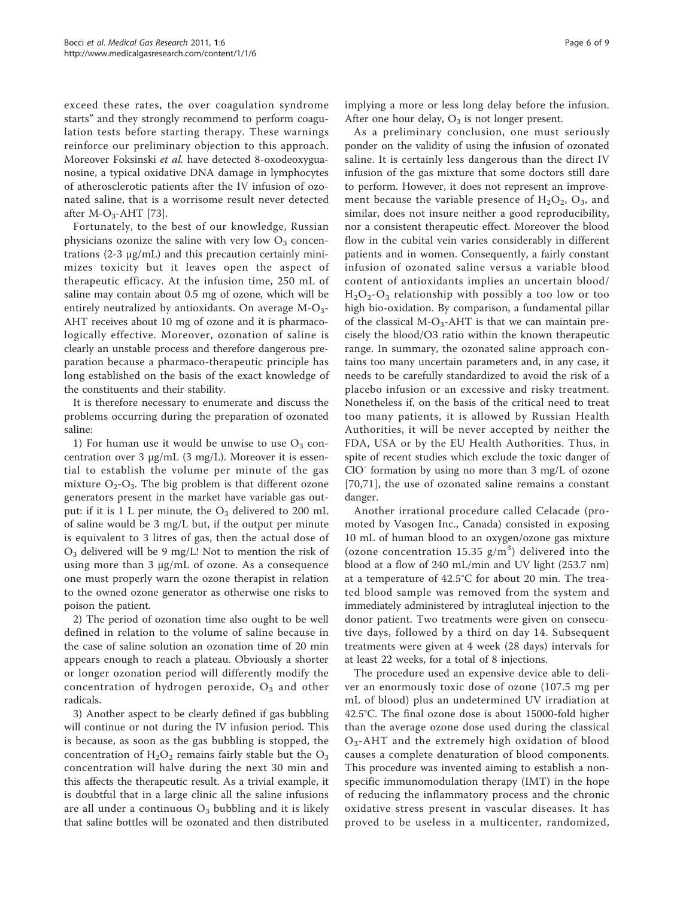exceed these rates, the over coagulation syndrome starts" and they strongly recommend to perform coagulation tests before starting therapy. These warnings reinforce our preliminary objection to this approach. Moreover Foksinski et al. have detected 8-oxodeoxyguanosine, a typical oxidative DNA damage in lymphocytes of atherosclerotic patients after the IV infusion of ozonated saline, that is a worrisome result never detected after M-O<sub>3</sub>-AHT [\[73\]](#page-8-0).

Fortunately, to the best of our knowledge, Russian physicians ozonize the saline with very low  $O_3$  concentrations (2-3 μg/mL) and this precaution certainly minimizes toxicity but it leaves open the aspect of therapeutic efficacy. At the infusion time, 250 mL of saline may contain about 0.5 mg of ozone, which will be entirely neutralized by antioxidants. On average  $M$ -O<sub>3</sub>-AHT receives about 10 mg of ozone and it is pharmacologically effective. Moreover, ozonation of saline is clearly an unstable process and therefore dangerous preparation because a pharmaco-therapeutic principle has long established on the basis of the exact knowledge of the constituents and their stability.

It is therefore necessary to enumerate and discuss the problems occurring during the preparation of ozonated saline:

1) For human use it would be unwise to use  $O_3$  concentration over 3 μg/mL (3 mg/L). Moreover it is essential to establish the volume per minute of the gas mixture  $O_2-O_3$ . The big problem is that different ozone generators present in the market have variable gas output: if it is 1 L per minute, the  $O_3$  delivered to 200 mL of saline would be 3 mg/L but, if the output per minute is equivalent to 3 litres of gas, then the actual dose of O3 delivered will be 9 mg/L! Not to mention the risk of using more than 3 μg/mL of ozone. As a consequence one must properly warn the ozone therapist in relation to the owned ozone generator as otherwise one risks to poison the patient.

2) The period of ozonation time also ought to be well defined in relation to the volume of saline because in the case of saline solution an ozonation time of 20 min appears enough to reach a plateau. Obviously a shorter or longer ozonation period will differently modify the concentration of hydrogen peroxide,  $O_3$  and other radicals.

3) Another aspect to be clearly defined if gas bubbling will continue or not during the IV infusion period. This is because, as soon as the gas bubbling is stopped, the concentration of  $H_2O_2$  remains fairly stable but the  $O_3$ concentration will halve during the next 30 min and this affects the therapeutic result. As a trivial example, it is doubtful that in a large clinic all the saline infusions are all under a continuous  $O_3$  bubbling and it is likely that saline bottles will be ozonated and then distributed

implying a more or less long delay before the infusion. After one hour delay,  $O_3$  is not longer present.

As a preliminary conclusion, one must seriously ponder on the validity of using the infusion of ozonated saline. It is certainly less dangerous than the direct IV infusion of the gas mixture that some doctors still dare to perform. However, it does not represent an improvement because the variable presence of  $H_2O_2$ ,  $O_3$ , and similar, does not insure neither a good reproducibility, nor a consistent therapeutic effect. Moreover the blood flow in the cubital vein varies considerably in different patients and in women. Consequently, a fairly constant infusion of ozonated saline versus a variable blood content of antioxidants implies an uncertain blood/  $H_2O_2-O_3$  relationship with possibly a too low or too high bio-oxidation. By comparison, a fundamental pillar of the classical M-O<sub>3</sub>-AHT is that we can maintain precisely the blood/O3 ratio within the known therapeutic range. In summary, the ozonated saline approach contains too many uncertain parameters and, in any case, it needs to be carefully standardized to avoid the risk of a placebo infusion or an excessive and risky treatment. Nonetheless if, on the basis of the critical need to treat too many patients, it is allowed by Russian Health Authorities, it will be never accepted by neither the FDA, USA or by the EU Health Authorities. Thus, in spite of recent studies which exclude the toxic danger of  $ClO^-$  formation by using no more than 3 mg/L of ozone [[70](#page-8-0),[71\]](#page-8-0), the use of ozonated saline remains a constant danger.

Another irrational procedure called Celacade (promoted by Vasogen Inc., Canada) consisted in exposing 10 mL of human blood to an oxygen/ozone gas mixture (ozone concentration 15.35  $g/m<sup>3</sup>$ ) delivered into the blood at a flow of 240 mL/min and UV light (253.7 nm) at a temperature of 42.5°C for about 20 min. The treated blood sample was removed from the system and immediately administered by intragluteal injection to the donor patient. Two treatments were given on consecutive days, followed by a third on day 14. Subsequent treatments were given at 4 week (28 days) intervals for at least 22 weeks, for a total of 8 injections.

The procedure used an expensive device able to deliver an enormously toxic dose of ozone (107.5 mg per mL of blood) plus an undetermined UV irradiation at 42.5°C. The final ozone dose is about 15000-fold higher than the average ozone dose used during the classical  $O_3$ -AHT and the extremely high oxidation of blood causes a complete denaturation of blood components. This procedure was invented aiming to establish a nonspecific immunomodulation therapy (IMT) in the hope of reducing the inflammatory process and the chronic oxidative stress present in vascular diseases. It has proved to be useless in a multicenter, randomized,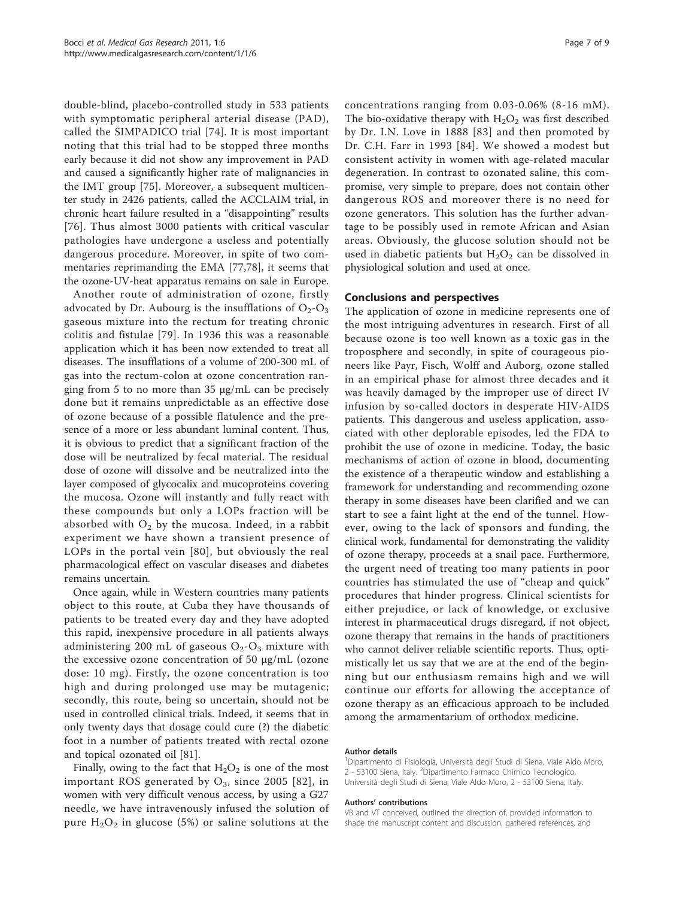double-blind, placebo-controlled study in 533 patients with symptomatic peripheral arterial disease (PAD), called the SIMPADICO trial [[74\]](#page-8-0). It is most important noting that this trial had to be stopped three months early because it did not show any improvement in PAD and caused a significantly higher rate of malignancies in the IMT group [[75\]](#page-8-0). Moreover, a subsequent multicenter study in 2426 patients, called the ACCLAIM trial, in chronic heart failure resulted in a "disappointing" results [[76](#page-8-0)]. Thus almost 3000 patients with critical vascular pathologies have undergone a useless and potentially dangerous procedure. Moreover, in spite of two commentaries reprimanding the EMA [[77](#page-8-0),[78\]](#page-8-0), it seems that the ozone-UV-heat apparatus remains on sale in Europe.

Another route of administration of ozone, firstly advocated by Dr. Aubourg is the insufflations of  $O_2-O_3$ gaseous mixture into the rectum for treating chronic colitis and fistulae [[79](#page-8-0)]. In 1936 this was a reasonable application which it has been now extended to treat all diseases. The insufflations of a volume of 200-300 mL of gas into the rectum-colon at ozone concentration ranging from 5 to no more than 35 μg/mL can be precisely done but it remains unpredictable as an effective dose of ozone because of a possible flatulence and the presence of a more or less abundant luminal content. Thus, it is obvious to predict that a significant fraction of the dose will be neutralized by fecal material. The residual dose of ozone will dissolve and be neutralized into the layer composed of glycocalix and mucoproteins covering the mucosa. Ozone will instantly and fully react with these compounds but only a LOPs fraction will be absorbed with  $O_2$  by the mucosa. Indeed, in a rabbit experiment we have shown a transient presence of LOPs in the portal vein [[80\]](#page-8-0), but obviously the real pharmacological effect on vascular diseases and diabetes remains uncertain.

Once again, while in Western countries many patients object to this route, at Cuba they have thousands of patients to be treated every day and they have adopted this rapid, inexpensive procedure in all patients always administering 200 mL of gaseous  $O_2-O_3$  mixture with the excessive ozone concentration of 50 μg/mL (ozone dose: 10 mg). Firstly, the ozone concentration is too high and during prolonged use may be mutagenic; secondly, this route, being so uncertain, should not be used in controlled clinical trials. Indeed, it seems that in only twenty days that dosage could cure (?) the diabetic foot in a number of patients treated with rectal ozone and topical ozonated oil [\[81\]](#page-8-0).

Finally, owing to the fact that  $H_2O_2$  is one of the most important ROS generated by  $O_3$ , since 2005 [[82](#page-8-0)], in women with very difficult venous access, by using a G27 needle, we have intravenously infused the solution of pure  $H_2O_2$  in glucose (5%) or saline solutions at the

concentrations ranging from 0.03-0.06% (8-16 mM). The bio-oxidative therapy with  $H_2O_2$  was first described by Dr. I.N. Love in 1888 [\[83\]](#page-8-0) and then promoted by Dr. C.H. Farr in 1993 [[84](#page-8-0)]. We showed a modest but consistent activity in women with age-related macular degeneration. In contrast to ozonated saline, this compromise, very simple to prepare, does not contain other dangerous ROS and moreover there is no need for ozone generators. This solution has the further advantage to be possibly used in remote African and Asian areas. Obviously, the glucose solution should not be used in diabetic patients but  $H_2O_2$  can be dissolved in physiological solution and used at once.

#### Conclusions and perspectives

The application of ozone in medicine represents one of the most intriguing adventures in research. First of all because ozone is too well known as a toxic gas in the troposphere and secondly, in spite of courageous pioneers like Payr, Fisch, Wolff and Auborg, ozone stalled in an empirical phase for almost three decades and it was heavily damaged by the improper use of direct IV infusion by so-called doctors in desperate HIV-AIDS patients. This dangerous and useless application, associated with other deplorable episodes, led the FDA to prohibit the use of ozone in medicine. Today, the basic mechanisms of action of ozone in blood, documenting the existence of a therapeutic window and establishing a framework for understanding and recommending ozone therapy in some diseases have been clarified and we can start to see a faint light at the end of the tunnel. However, owing to the lack of sponsors and funding, the clinical work, fundamental for demonstrating the validity of ozone therapy, proceeds at a snail pace. Furthermore, the urgent need of treating too many patients in poor countries has stimulated the use of "cheap and quick" procedures that hinder progress. Clinical scientists for either prejudice, or lack of knowledge, or exclusive interest in pharmaceutical drugs disregard, if not object, ozone therapy that remains in the hands of practitioners who cannot deliver reliable scientific reports. Thus, optimistically let us say that we are at the end of the beginning but our enthusiasm remains high and we will continue our efforts for allowing the acceptance of ozone therapy as an efficacious approach to be included among the armamentarium of orthodox medicine.

#### Author details

<sup>1</sup>Dipartimento di Fisiologia, Università degli Studi di Siena, Viale Aldo Moro, 2 - 53100 Siena, Italy. <sup>2</sup>Dipartimento Farmaco Chimico Tecnologico Università degli Studi di Siena, Viale Aldo Moro, 2 - 53100 Siena, Italy.

#### Authors' contributions

VB and VT conceived, outlined the direction of, provided information to shape the manuscript content and discussion, gathered references, and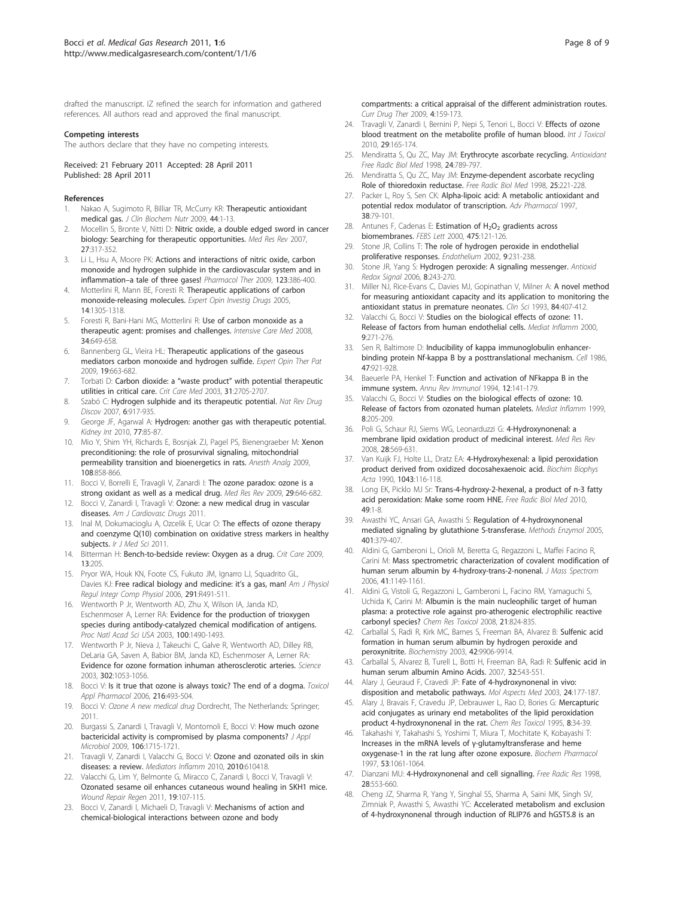<span id="page-7-0"></span>drafted the manuscript. IZ refined the search for information and gathered references. All authors read and approved the final manuscript.

#### Competing interests

The authors declare that they have no competing interests.

Received: 21 February 2011 Accepted: 28 April 2011 Published: 28 April 2011

#### References

- 1. Nakao A, Sugimoto R, Billiar TR, McCurry KR: [Therapeutic antioxidant](http://www.ncbi.nlm.nih.gov/pubmed/19177183?dopt=Abstract) [medical gas.](http://www.ncbi.nlm.nih.gov/pubmed/19177183?dopt=Abstract) J Clin Biochem Nutr 2009, 44:1-13.
- 2. Mocellin S, Bronte V, Nitti D: [Nitric oxide, a double edged sword in cancer](http://www.ncbi.nlm.nih.gov/pubmed/16991100?dopt=Abstract) [biology: Searching for therapeutic opportunities.](http://www.ncbi.nlm.nih.gov/pubmed/16991100?dopt=Abstract) Med Res Rev 2007, 27:317-352.
- 3. Li L, Hsu A, Moore PK: [Actions and interactions of nitric oxide, carbon](http://www.ncbi.nlm.nih.gov/pubmed/19486912?dopt=Abstract) [monoxide and hydrogen sulphide in the cardiovascular system and in](http://www.ncbi.nlm.nih.gov/pubmed/19486912?dopt=Abstract) inflammation–[a tale of three gases!](http://www.ncbi.nlm.nih.gov/pubmed/19486912?dopt=Abstract) Pharmacol Ther 2009, 123:386-400.
- 4. Motterlini R, Mann BE, Foresti R: [Therapeutic applications of carbon](http://www.ncbi.nlm.nih.gov/pubmed/16255672?dopt=Abstract) [monoxide-releasing molecules.](http://www.ncbi.nlm.nih.gov/pubmed/16255672?dopt=Abstract) Expert Opin Investig Drugs 2005, 14:1305-1318.
- 5. Foresti R, Bani-Hani MG, Motterlini R: [Use of carbon monoxide as a](http://www.ncbi.nlm.nih.gov/pubmed/18286265?dopt=Abstract) [therapeutic agent: promises and challenges.](http://www.ncbi.nlm.nih.gov/pubmed/18286265?dopt=Abstract) Intensive Care Med 2008, 34:649-658.
- 6. Bannenberg GL, Vieira HL: [Therapeutic applications of the gaseous](http://www.ncbi.nlm.nih.gov/pubmed/19441940?dopt=Abstract) [mediators carbon monoxide and hydrogen sulfide.](http://www.ncbi.nlm.nih.gov/pubmed/19441940?dopt=Abstract) Expert Opin Ther Pat 2009, 19:663-682.
- 7. Torbati D: Carbon dioxide: a "waste product" [with potential therapeutic](http://www.ncbi.nlm.nih.gov/pubmed/14605550?dopt=Abstract) [utilities in critical care.](http://www.ncbi.nlm.nih.gov/pubmed/14605550?dopt=Abstract) Crit Care Med 2003, 31:2705-2707.
- 8. Szabó C: [Hydrogen sulphide and its therapeutic potential.](http://www.ncbi.nlm.nih.gov/pubmed/17948022?dopt=Abstract) Nat Rev Drug Discov 2007, 6:917-935.
- 9. George JF, Agarwal A: [Hydrogen: another gas with therapeutic potential.](http://www.ncbi.nlm.nih.gov/pubmed/20040921?dopt=Abstract) Kidney Int 2010, 77:85-87.
- 10. Mio Y, Shim YH, Richards E, Bosnjak ZJ, Pagel PS, Bienengraeber M: [Xenon](http://www.ncbi.nlm.nih.gov/pubmed/19224794?dopt=Abstract) [preconditioning: the role of prosurvival signaling, mitochondrial](http://www.ncbi.nlm.nih.gov/pubmed/19224794?dopt=Abstract) [permeability transition and bioenergetics in rats.](http://www.ncbi.nlm.nih.gov/pubmed/19224794?dopt=Abstract) Anesth Analg 2009, 108:858-866.
- 11. Bocci V, Borrelli E, Travagli V, Zanardi I: [The ozone paradox: ozone is a](http://www.ncbi.nlm.nih.gov/pubmed/19260079?dopt=Abstract) [strong oxidant as well as a medical drug.](http://www.ncbi.nlm.nih.gov/pubmed/19260079?dopt=Abstract) Med Res Rev 2009, 29:646-682.
- 12. Bocci V, Zanardi I, Travagli V: Ozone: a new medical drug in vascular diseases. Am J Cardiovasc Drugs 2011.
- 13. Inal M, Dokumacioglu A, Ozcelik E, Ucar O: The effects of ozone therapy and coenzyme Q(10) combination on oxidative stress markers in healthy subjects. Ir J Med Sci 2011.
- 14. Bitterman H: [Bench-to-bedside review: Oxygen as a drug.](http://www.ncbi.nlm.nih.gov/pubmed/19291278?dopt=Abstract) Crit Care 2009, 13:205.
- 15. Pryor WA, Houk KN, Foote CS, Fukuto JM, Ignarro LJ, Squadrito GL, Davies KJ: [Free radical biology and medicine: it](http://www.ncbi.nlm.nih.gov/pubmed/16627692?dopt=Abstract)'s a gas, man! Am J Physiol Regul Integr Comp Physiol 2006, 291:R491-511.
- 16. Wentworth P Jr, Wentworth AD, Zhu X, Wilson IA, Janda KD, Eschenmoser A, Lerner RA: [Evidence for the production of trioxygen](http://www.ncbi.nlm.nih.gov/pubmed/12576548?dopt=Abstract) [species during antibody-catalyzed chemical modification of antigens.](http://www.ncbi.nlm.nih.gov/pubmed/12576548?dopt=Abstract) Proc Natl Acad Sci USA 2003, 100:1490-1493.
- 17. Wentworth P Jr, Nieva J, Takeuchi C, Galve R, Wentworth AD, Dilley RB, DeLaria GA, Saven A, Babior BM, Janda KD, Eschenmoser A, Lerner RA: [Evidence for ozone formation inhuman atherosclerotic arteries.](http://www.ncbi.nlm.nih.gov/pubmed/14605372?dopt=Abstract) Science 2003, 302:1053-1056.
- 18. Bocci V: [Is it true that ozone is always toxic? The end of a dogma.](http://www.ncbi.nlm.nih.gov/pubmed/16890971?dopt=Abstract) Toxicol Appl Pharmacol 2006, 216:493-504.
- 19. Bocci V: Ozone A new medical drug Dordrecht, The Netherlands: Springer; 2011.
- 20. Burgassi S, Zanardi I, Travagli V, Montomoli E, Bocci V: [How much ozone](http://www.ncbi.nlm.nih.gov/pubmed/19226394?dopt=Abstract) [bactericidal activity is compromised by plasma components?](http://www.ncbi.nlm.nih.gov/pubmed/19226394?dopt=Abstract) J Appl Microbiol 2009, 106:1715-1721.
- 21. Travagli V, Zanardi I, Valacchi G, Bocci V: [Ozone and ozonated oils in skin](http://www.ncbi.nlm.nih.gov/pubmed/20671923?dopt=Abstract) [diseases: a review.](http://www.ncbi.nlm.nih.gov/pubmed/20671923?dopt=Abstract) Mediators Inflamm 2010, 2010:610418.
- 22. Valacchi G, Lim Y, Belmonte G, Miracco C, Zanardi I, Bocci V, Travagli V: [Ozonated sesame oil enhances cutaneous wound healing in SKH1 mice.](http://www.ncbi.nlm.nih.gov/pubmed/21134039?dopt=Abstract) Wound Repair Regen 2011, 19:107-115.
- 23. Bocci V, Zanardi I, Michaeli D, Travagli V: Mechanisms of action and chemical-biological interactions between ozone and body
- 24. Travagli V, Zanardi I, Bernini P, Nepi S, Tenori L, Bocci V: [Effects of ozone](http://www.ncbi.nlm.nih.gov/pubmed/20335512?dopt=Abstract) [blood treatment on the metabolite profile of human blood.](http://www.ncbi.nlm.nih.gov/pubmed/20335512?dopt=Abstract) Int J Toxicol 2010, 29:165-174.
- 25. Mendiratta S, Qu ZC, May JM: Erythrocyte ascorbate recycling. Antioxidant Free Radic Biol Med 1998, 24:789-797.
- 26. Mendiratta S, Qu ZC, May JM: [Enzyme-dependent ascorbate recycling](http://www.ncbi.nlm.nih.gov/pubmed/9667500?dopt=Abstract) [Role of thioredoxin reductase.](http://www.ncbi.nlm.nih.gov/pubmed/9667500?dopt=Abstract) Free Radic Biol Med 1998, 25:221-228.
- 27. Packer L, Roy S, Sen CK: [Alpha-lipoic acid: A metabolic antioxidant and](http://www.ncbi.nlm.nih.gov/pubmed/8895805?dopt=Abstract) [potential redox modulator of transcription.](http://www.ncbi.nlm.nih.gov/pubmed/8895805?dopt=Abstract) Adv Pharmacol 1997, 38:79-101.
- 28. Antunes F, Cadenas E: Estimation of  $H_2O_2$  [gradients across](http://www.ncbi.nlm.nih.gov/pubmed/10858501?dopt=Abstract) [biomembranes.](http://www.ncbi.nlm.nih.gov/pubmed/10858501?dopt=Abstract) FEBS Lett 2000, 475:121-126.
- 29. Stone JR, Collins T: [The role of hydrogen peroxide in endothelial](http://www.ncbi.nlm.nih.gov/pubmed/12572854?dopt=Abstract) [proliferative responses.](http://www.ncbi.nlm.nih.gov/pubmed/12572854?dopt=Abstract) Endothelium 2002, 9:231-238.
- 30. Stone JR, Yang S: [Hydrogen peroxide: A signaling messenger.](http://www.ncbi.nlm.nih.gov/pubmed/16677071?dopt=Abstract) Antioxid Redox Signal 2006, 8:243-270.
- 31. Miller NJ, Rice-Evans C, Davies MJ, Gopinathan V, Milner A: [A novel method](http://www.ncbi.nlm.nih.gov/pubmed/8482045?dopt=Abstract) [for measuring antioxidant capacity and its application to monitoring the](http://www.ncbi.nlm.nih.gov/pubmed/8482045?dopt=Abstract) [antioxidant status in premature neonates.](http://www.ncbi.nlm.nih.gov/pubmed/8482045?dopt=Abstract) Clin Sci 1993, 84:407-412.
- 32. Valacchi G, Bocci V: Studies on the biological effects of ozone: 11. Release of factors from human endothelial cells. Mediat Inflamm 2000, 9:271-276.
- 33. Sen R, Baltimore D: [Inducibility of kappa immunoglobulin enhancer](http://www.ncbi.nlm.nih.gov/pubmed/3096580?dopt=Abstract)[binding protein Nf-kappa B by a posttranslational mechanism.](http://www.ncbi.nlm.nih.gov/pubmed/3096580?dopt=Abstract) Cell 1986, 47:921-928.
- 34. Baeuerle PA, Henkel T: [Function and activation of NFkappa B in the](http://www.ncbi.nlm.nih.gov/pubmed/8011280?dopt=Abstract) [immune system.](http://www.ncbi.nlm.nih.gov/pubmed/8011280?dopt=Abstract) Annu Rev Immunol 1994, 12:141-179.
- 35. Valacchi G, Bocci V: Studies on the biological effects of ozone: 10. Release of factors from ozonated human platelets. Mediat Inflamm 1999, 8:205-209.
- 36. Poli G, Schaur RJ, Siems WG, Leonarduzzi G: [4-Hydroxynonenal: a](http://www.ncbi.nlm.nih.gov/pubmed/18058921?dopt=Abstract) [membrane lipid oxidation product of medicinal interest.](http://www.ncbi.nlm.nih.gov/pubmed/18058921?dopt=Abstract) Med Res Rev 2008, 28:569-631.
- 37. Van Kuijk FJ, Holte LL, Dratz EA: [4-Hydroxyhexenal: a lipid peroxidation](http://www.ncbi.nlm.nih.gov/pubmed/2138035?dopt=Abstract) [product derived from oxidized docosahexaenoic acid.](http://www.ncbi.nlm.nih.gov/pubmed/2138035?dopt=Abstract) Biochim Biophys Acta 1990, 1043:116-118.
- 38. Long EK, Picklo MJ Sr: [Trans-4-hydroxy-2-hexenal, a product of n-3 fatty](http://www.ncbi.nlm.nih.gov/pubmed/20353821?dopt=Abstract) [acid peroxidation: Make some room HNE.](http://www.ncbi.nlm.nih.gov/pubmed/20353821?dopt=Abstract) Free Radic Biol Med 2010, 49:1-8.
- 39. Awasthi YC, Ansari GA, Awasthi S: [Regulation of 4-hydroxynonenal](http://www.ncbi.nlm.nih.gov/pubmed/16399399?dopt=Abstract) [mediated signaling by glutathione S-transferase.](http://www.ncbi.nlm.nih.gov/pubmed/16399399?dopt=Abstract) Methods Enzymol 2005, 401:379-407.
- 40. Aldini G, Gamberoni L, Orioli M, Beretta G, Regazzoni L, Maffei Facino R, Carini M: [Mass spectrometric characterization of covalent modification of](http://www.ncbi.nlm.nih.gov/pubmed/16888752?dopt=Abstract) [human serum albumin by 4-hydroxy-trans-2-nonenal.](http://www.ncbi.nlm.nih.gov/pubmed/16888752?dopt=Abstract) J Mass Spectrom 2006, 41:1149-1161.
- 41. Aldini G, Vistoli G, Regazzoni L, Gamberoni L, Facino RM, Yamaguchi S, Uchida K, Carini M: [Albumin is the main nucleophilic target of human](http://www.ncbi.nlm.nih.gov/pubmed/18324789?dopt=Abstract) [plasma: a protective role against pro-atherogenic electrophilic reactive](http://www.ncbi.nlm.nih.gov/pubmed/18324789?dopt=Abstract) [carbonyl species?](http://www.ncbi.nlm.nih.gov/pubmed/18324789?dopt=Abstract) Chem Res Toxicol 2008, 21:824-835.
- 42. Carballal S, Radi R, Kirk MC, Barnes S, Freeman BA, Alvarez B: [Sulfenic](http://www.ncbi.nlm.nih.gov/pubmed/12924939?dopt=Abstract) acid [formation in human serum albumin by hydrogen peroxide and](http://www.ncbi.nlm.nih.gov/pubmed/12924939?dopt=Abstract) [peroxynitrite.](http://www.ncbi.nlm.nih.gov/pubmed/12924939?dopt=Abstract) Biochemistry 2003, 42:9906-9914.
- 43. Carballal S, Alvarez B, Turell L, Botti H, Freeman BA, Radi R: Sulfenic acid in human serum albumin Amino Acids. 2007, 32:543-551.
- 44. Alary J, Geuraud F, Cravedi JP: [Fate of 4-hydroxynonenal in vivo:](http://www.ncbi.nlm.nih.gov/pubmed/12892995?dopt=Abstract) [disposition and metabolic pathways.](http://www.ncbi.nlm.nih.gov/pubmed/12892995?dopt=Abstract) Mol Aspects Med 2003, 24:177-187.
- 45. Alary J, Bravais F, Cravedu JP, Debrauwer L, Rao D, Bories G: [Mercapturic](http://www.ncbi.nlm.nih.gov/pubmed/7703364?dopt=Abstract) [acid conjugates as urinary end metabolites of the lipid peroxidation](http://www.ncbi.nlm.nih.gov/pubmed/7703364?dopt=Abstract) [product 4-hydroxynonenal in the rat.](http://www.ncbi.nlm.nih.gov/pubmed/7703364?dopt=Abstract) Chem Res Toxicol 1995, 8:34-39.
- Takahashi Y, Takahashi S, Yoshimi T, Miura T, Mochitate K, Kobayashi T: [Increases in the mRNA levels of](http://www.ncbi.nlm.nih.gov/pubmed/9174121?dopt=Abstract) γ-glutamyltransferase and heme [oxygenase-1 in the rat lung after ozone exposure.](http://www.ncbi.nlm.nih.gov/pubmed/9174121?dopt=Abstract) Biochem Pharmacol 1997, 53:1061-1064.
- 47. Dianzani MU: [4-Hydroxynonenal and cell signalling.](http://www.ncbi.nlm.nih.gov/pubmed/9736307?dopt=Abstract) Free Radic Res 1998, 28:553-660.
- 48. Cheng JZ, Sharma R, Yang Y, Singhal SS, Sharma A, Saini MK, Singh SV, Zimniak P, Awasthi S, Awasthi YC: [Accelerated metabolism and exclusion](http://www.ncbi.nlm.nih.gov/pubmed/11522795?dopt=Abstract) [of 4-hydroxynonenal through induction of RLIP76 and hGST5.8 is an](http://www.ncbi.nlm.nih.gov/pubmed/11522795?dopt=Abstract)